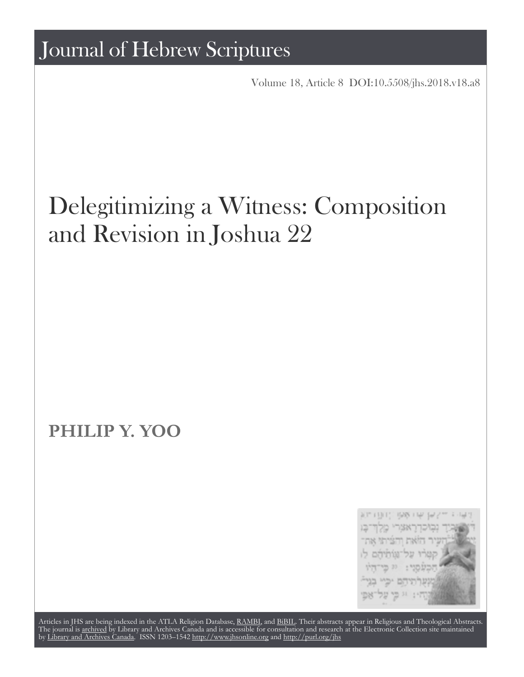Volume 18, Article 8 [DOI:10.5508/jhs.2018.v18.a8](http://dx.doi.org/10.5508/jhs.2018.v18.a8)

# Delegitimizing a Witness: Composition and Revision in Joshua 22

## **PHILIP Y. YOO**



Articles in JHS are being indexed in the ATLA Religion Database, [RAMBI,](http://web.nli.org.il/sites/nli/english/infochannels/catalogs/bibliographic-databases/rambi/pages/rambi.aspx) and [BiBIL](http://bibil.net/). Their abstracts appear in Religious and Theological Abstracts. The journal is [archived](http://epe.lac-bac.gc.ca/100/201/300/journal_hebrew/index.html) by Library and Archives Canada and is accessible for consultation and research at the Electronic Collection site maintained by [Library and Archives Canada.](http://collectionscanada.ca/electroniccollection/) ISSN 1203–1542 <http://www.jhsonline.org>and<http://purl.org/jhs>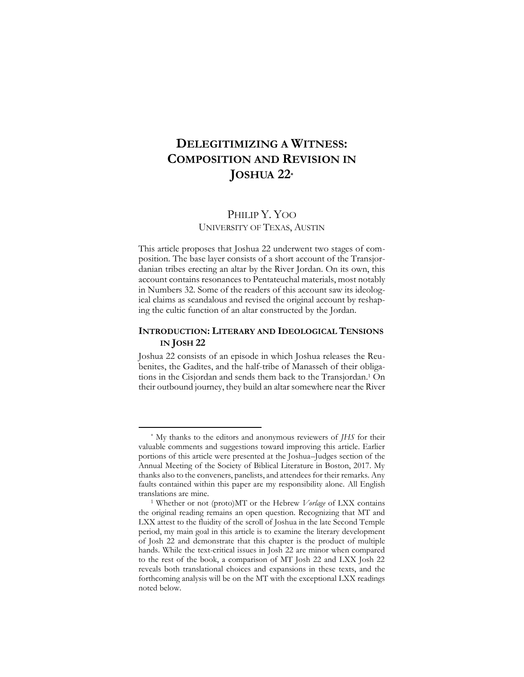### **DELEGITIMIZING A WITNESS: COMPOSITION AND REVISION IN JOSHUA 22\***

#### PHILIP Y. YOO UNIVERSITY OF TEXAS, AUSTIN

This article proposes that Joshua 22 underwent two stages of composition. The base layer consists of a short account of the Transjordanian tribes erecting an altar by the River Jordan. On its own, this account contains resonances to Pentateuchal materials, most notably in Numbers 32. Some of the readers of this account saw its ideological claims as scandalous and revised the original account by reshaping the cultic function of an altar constructed by the Jordan.

#### **INTRODUCTION: LITERARY AND IDEOLOGICAL TENSIONS IN JOSH 22**

Joshua 22 consists of an episode in which Joshua releases the Reubenites, the Gadites, and the half-tribe of Manasseh of their obligations in the Cisjordan and sends them back to the Transjordan.1 On their outbound journey, they build an altar somewhere near the River

<sup>\*</sup> My thanks to the editors and anonymous reviewers of *JHS* for their valuable comments and suggestions toward improving this article. Earlier portions of this article were presented at the Joshua–Judges section of the Annual Meeting of the Society of Biblical Literature in Boston, 2017. My thanks also to the conveners, panelists, and attendees for their remarks. Any faults contained within this paper are my responsibility alone. All English translations are mine.

<sup>1</sup> Whether or not (proto)MT or the Hebrew *Vorlage* of LXX contains the original reading remains an open question. Recognizing that MT and LXX attest to the fluidity of the scroll of Joshua in the late Second Temple period, my main goal in this article is to examine the literary development of Josh 22 and demonstrate that this chapter is the product of multiple hands. While the text-critical issues in Josh 22 are minor when compared to the rest of the book, a comparison of MT Josh 22 and LXX Josh 22 reveals both translational choices and expansions in these texts, and the forthcoming analysis will be on the MT with the exceptional LXX readings noted below.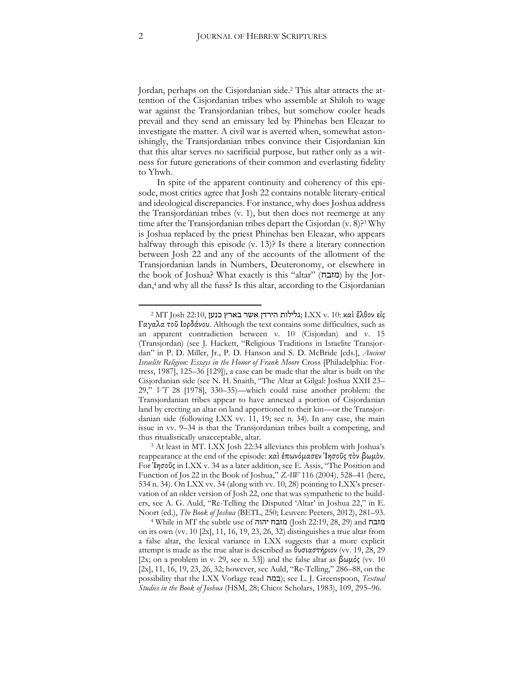Jordan, perhaps on the Cisjordanian side.2 This altar attracts the attention of the Cisjordanian tribes who assemble at Shiloh to wage war against the Transjordanian tribes, but somehow cooler heads prevail and they send an emissary led by Phinehas ben Eleazar to investigate the matter. A civil war is averted when, somewhat astonishingly, the Transjordanian tribes convince their Cisjordanian kin that this altar serves no sacrificial purpose, but rather only as a witness for future generations of their common and everlasting fidelity to Yhwh.

In spite of the apparent continuity and coherency of this episode, most critics agree that Josh 22 contains notable literary-critical and ideological discrepancies. For instance, why does Joshua address the Transjordanian tribes (v. 1), but then does not reemerge at any time after the Transjordanian tribes depart the Cisjordan (v. 8)?<sup>3</sup> Why is Joshua replaced by the priest Phinehas ben Eleazar, who appears halfway through this episode (v. 13)? Is there a literary connection between Josh 22 and any of the accounts of the allotment of the Transjordanian lands in Numbers, Deuteronomy, or elsewhere in the book of Joshua? What exactly is this "altar" (מזבח) by the Jordan,4 and why all the fuss? Is this altar, according to the Cisjordanian

<sup>2</sup> MT Josh 22:10, בארץ כנען גלילות הירדן גלילות גלילות גלילות בארץ הירדן  $\rm LXX$  v. 10: καὶ ἒλθον εἰς Γαγαλα τοῦ Ιορδάνου. Although the text contains some difficulties, such as an apparent contradiction between v. 10 (Cisjordan) and v. 15 (Transjordan) (see J. Hackett, "Religious Traditions in Israelite Transjordan" in P. D. Miller, Jr., P. D. Hanson and S. D. McBride [eds.], *Ancient Israelite Religion: Essays in the Honor of Frank Moore* Cross [Philadelphia: Fortress, 1987], 125–36 [129]), a case can be made that the altar is built on the Cisjordanian side (see N. H. Snaith, "The Altar at Gilgal: Joshua XXII 23– 29," *VT* 28 [1978], 330–35)—which could raise another problem: the Transjordanian tribes appear to have annexed a portion of Cisjordanian land by erecting an altar on land apportioned to their kin—or the Transjordanian side (following LXX vv. 11, 19; see n. 34). In any case, the main issue in vv. 9–34 is that the Transjordanian tribes built a competing, and thus ritualistically unacceptable, altar.

<sup>3</sup> At least in MT. LXX Josh 22:34 alleviates this problem with Joshua's reappearance at the end of the episode: καὶ ἐπωνόμασεν Ἰησοῦς τὸν βωμὸν. For Ἰησοῦς in LXX v. 34 as a later addition, see E. Assis, "The Position and Function of Jos 22 in the Book of Joshua," *ZAW* 116 (2004), 528–41 (here, 534 n. 34). On LXX vv. 34 (along with vv. 10, 28) pointing to LXX's preservation of an older version of Josh 22, one that was sympathetic to the builders, see A. G. Auld, "Re-Telling the Disputed 'Altar' in Joshua 22," in E. Noort (ed.), *The Book of Joshua* (BETL, 250; Leuven: Peeters, 2012), 281–93.

<sup>4</sup> While in MT the subtle use of יהוה מזבח) Josh 22:19, 28, 29) and מזבח on its own (vv. 10 [2x], 11, 16, 19, 23, 26, 32) distinguishes a true altar from a false altar, the lexical variance in LXX suggests that a more explicit attempt is made as the true altar is described as θυσιαστήριον (vv. 19, 28, 29 [2x; on a problem in v. 29, see n. 53]) and the false altar as  $βωμός$  (vv. 10 [2x], 11, 16, 19, 23, 26, 32; however, see Auld, "Re-Telling," 286–88, on the possibility that the LXX Vorlage read במה ;(see L. J. Greenspoon, *Textual Studies in the Book of Joshua* (HSM, 28; Chico: Scholars, 1983), 109, 295–96.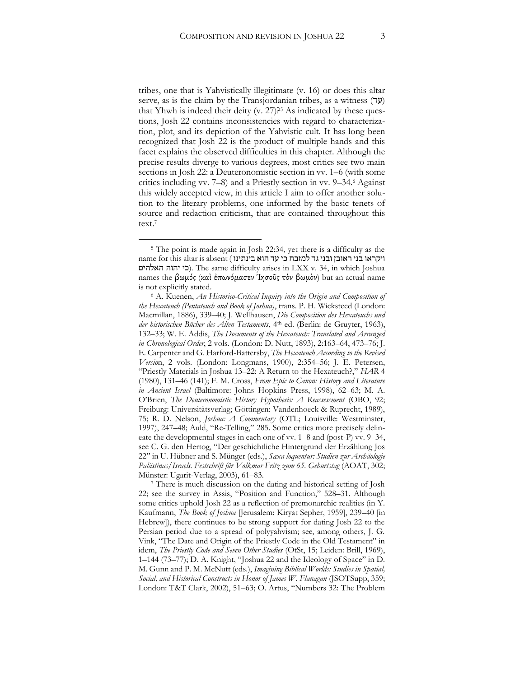tribes, one that is Yahvistically illegitimate (v. 16) or does this altar serve, as is the claim by the Transjordanian tribes, as a witness  $(7y)$ that Yhwh is indeed their deity  $(v. 27)$ ?<sup>5</sup> As indicated by these ques-

tions, Josh 22 contains inconsistencies with regard to characterization, plot, and its depiction of the Yahvistic cult. It has long been recognized that Josh 22 is the product of multiple hands and this facet explains the observed difficulties in this chapter. Although the precise results diverge to various degrees, most critics see two main sections in Josh 22: a Deuteronomistic section in vv. 1–6 (with some critics including vv. 7–8) and a Priestly section in vv. 9–34.6 Against this widely accepted view, in this article I aim to offer another solution to the literary problems, one informed by the basic tenets of source and redaction criticism, that are contained throughout this text.7

 $\overline{a}$ 

<sup>7</sup> There is much discussion on the dating and historical setting of Josh 22; see the survey in Assis, "Position and Function," 528–31. Although some critics uphold Josh 22 as a reflection of premonarchic realities (in Y. Kaufmann, *The Book of Joshua* [Jerusalem: Kiryat Sepher, 1959], 239–40 [in Hebrew]), there continues to be strong support for dating Josh 22 to the Persian period due to a spread of polyyahvism; see, among others, J. G. Vink, "The Date and Origin of the Priestly Code in the Old Testament" in idem, *The Priestly Code and Seven Other Studies* (OtSt, 15; Leiden: Brill, 1969), 1–144 (73–77); D. A. Knight, "Joshua 22 and the Ideology of Space" in D. M. Gunn and P. M. McNutt (eds.), *Imagining Biblical Worlds: Studies in Spatial, Social, and Historical Constructs in Honor of James W. Flanagan* (JSOTSupp, 359; London: T&T Clark, 2002), 51–63; O. Artus, "Numbers 32: The Problem

<sup>5</sup> The point is made again in Josh 22:34, yet there is a difficulty as the ויקראו בני ראובן ובני גד למזבח כי עד הוא בינתינו ) name for this altar is absent האלהים יהוה כי(. The same difficulty arises in LXX v. 34, in which Joshua names the βωμός (καὶ ἐπωνόμασεν Ἰησοῦς τὸν βωμὸν) but an actual name is not explicitly stated.

<sup>6</sup> A. Kuenen, *An Historico-Critical Inquiry into the Origin and Composition of the Hexateuch (Pentateuch and Book of Joshua)*, trans. P. H. Wicksteed (London: Macmillan, 1886), 339–40; J. Wellhausen, *Die Composition des Hexateuchs und der historischen Bücher des Alten Testaments*, 4th ed. (Berlin: de Gruyter, 1963), 132–33; W. E. Addis, *The Documents of the Hexateuch: Translated and Arranged in Chronological Order*, 2 vols. (London: D. Nutt, 1893), 2:163–64, 473–76; J. E. Carpenter and G. Harford-Battersby, *The Hexateuch According to the Revised Versio*n, 2 vols. (London: Longmans, 1900), 2:354–56; J. E. Petersen, "Priestly Materials in Joshua 13–22: A Return to the Hexateuch?," *HAR* 4 (1980), 131–46 (141); F. M. Cross, *From Epic to Canon: History and Literature in Ancient Israel* (Baltimore: Johns Hopkins Press, 1998), 62–63; M. A. O'Brien, *The Deuteronomistic History Hypothesis: A Reassessment* (OBO, 92; Freiburg: Universitätsverlag; Göttingen: Vandenhoeck & Ruprecht, 1989), 75; R. D. Nelson, *Joshua: A Commentary* (OTL; Louisville: Westminster, 1997), 247–48; Auld, "Re-Telling," 285. Some critics more precisely delineate the developmental stages in each one of vv. 1–8 and (post-P) vv. 9–34, see C. G. den Hertog, "Der geschichtliche Hintergrund der Erzählung Jos 22" in U. Hübner and S. Münger (eds.), *Saxa loquentur: Studien zur Archäologie Palästinas/Israels. Festschrift für Volkmar Fritz zum 65. Geburtstag* (AOAT, 302; Münster: Ugarit-Verlag, 2003), 61–83.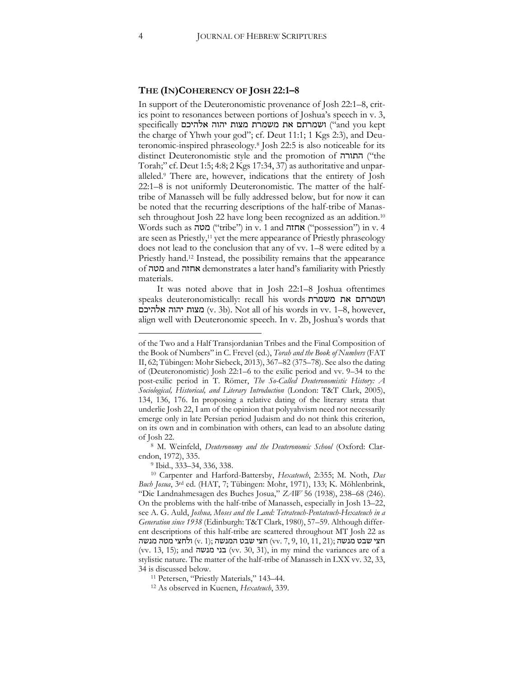#### **THE (IN)COHERENCY OF JOSH 22:1–8**

In support of the Deuteronomistic provenance of Josh 22:1–8, critics point to resonances between portions of Joshua's speech in v. 3, kept you and ("ושמרתם את משמרת מצות יהוה אלהיכם specifically the charge of Yhwh your god"; cf. Deut 11:1; 1 Kgs 2:3), and Deuteronomic-inspired phraseology.8 Josh 22:5 is also noticeable for its distinct Deuteronomistic style and the promotion of התורה ("the Torah;" cf. Deut 1:5; 4:8; 2 Kgs 17:34, 37) as authoritative and unparalleled.9 There are, however, indications that the entirety of Josh 22:1–8 is not uniformly Deuteronomistic. The matter of the halftribe of Manasseh will be fully addressed below, but for now it can be noted that the recurring descriptions of the half-tribe of Manasseh throughout Josh 22 have long been recognized as an addition.<sup>10</sup>  $\alpha$  such as מטה ("tribe") in v. 1 and אחזה ("possession") in v. 4 are seen as Priestly,11 yet the mere appearance of Priestly phraseology does not lead to the conclusion that any of vv. 1–8 were edited by a Priestly hand. <sup>12</sup> Instead, the possibility remains that the appearance of מטה and אחזה demonstrates a later hand's familiarity with Priestly materials.

It was noted above that in Josh 22:1–8 Joshua oftentimes speaks deuteronomistically: recall his words משמרת את ושמרתם מצות יהוה אלהיכם (v. 3b). Not all of his words in vv. 1–8, however, align well with Deuteronomic speech. In v. 2b, Joshua's words that

of the Two and a Half Transjordanian Tribes and the Final Composition of the Book of Numbers" in C. Frevel (ed.), *Torah and the Book of Numbers* (FAT II, 62; Tübingen: Mohr Siebeck, 2013), 367–82 (375–78). See also the dating of (Deuteronomistic) Josh 22:1–6 to the exilic period and vv. 9–34 to the post-exilic period in T. Römer, *The So-Called Deuteronomistic History: A Sociological, Historical, and Literary Introduction* (London: T&T Clark, 2005), 134, 136, 176. In proposing a relative dating of the literary strata that underlie Josh 22, I am of the opinion that polyyahvism need not necessarily emerge only in late Persian period Judaism and do not think this criterion, on its own and in combination with others, can lead to an absolute dating of Josh 22.

<sup>8</sup> M. Weinfeld, *Deuteronomy and the Deuteronomic School* (Oxford: Clarendon, 1972), 335.

<sup>9</sup> Ibid., 333–34, 336, 338.

<sup>10</sup> Carpenter and Harford-Battersby, *Hexateuch*, 2:355; M. Noth, *Das Buch Josua*, 3rd ed. (HAT, 7; Tübingen: Mohr, 1971), 133; K. Möhlenbrink, "Die Landnahmesagen des Buches Josua," *ZAW* 56 (1938), 238–68 (246). On the problems with the half-tribe of Manasseh, especially in Josh 13–22, see A. G. Auld, *Joshua, Moses and the Land: Tetrateuch-Pentateuch-Hexateuch in a Generation since 1938* (Edinburgh: T&T Clark, 1980), 57–59. Although different descriptions of this half-tribe are scattered throughout MT Josh 22 as חצי שבט מנשה (v. 1); חצי שבט המנשה (v. 7, 9, 10, 11, 21); חצי שבט מנשה (vv. 13, 15); and מנשה בני) vv. 30, 31), in my mind the variances are of a stylistic nature. The matter of the half-tribe of Manasseh in LXX vv. 32, 33, 34 is discussed below.

<sup>11</sup> Petersen, "Priestly Materials," 143–44.

<sup>12</sup> As observed in Kuenen, *Hexateuch*, 339.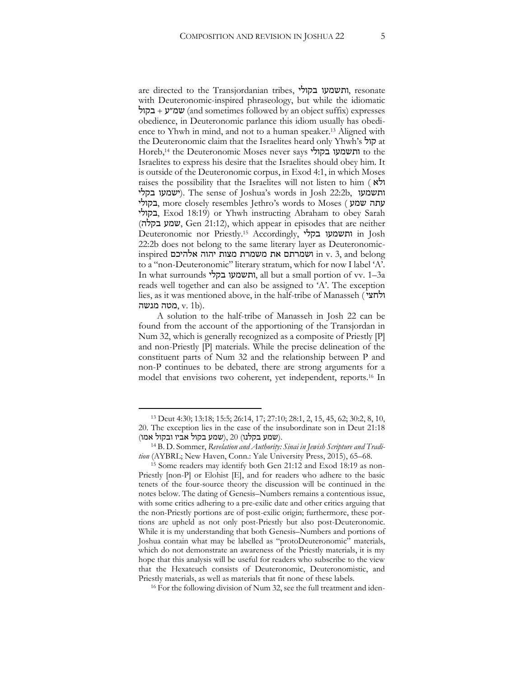are directed to the Transjordanian tribes, בקולי ותשמעו, resonate with Deuteronomic-inspired phraseology, but while the idiomatic בקול + שמ״ע) and sometimes followed by an object suffix) expresses obedience, in Deuteronomic parlance this idiom usually has obedience to Yhwh in mind, and not to a human speaker.13 Aligned with the Deuteronomic claim that the Israelites heard only Yhwh's קול at Horeb,14 the Deuteronomic Moses never says בקולי ותשמעו to the Israelites to express his desire that the Israelites should obey him. It is outside of the Deuteronomic corpus, in Exod 4:1, in which Moses raises the possibility that the Israelites will not listen to him ( $\overrightarrow{R}$ ) בקלי ישמעו(. The sense of Joshua's words in Josh 22:2b, ותשמעו בקולי, more closely resembles Jethro's words to Moses ( שמע עתה בקולי, Exod 18:19) or Yhwh instructing Abraham to obey Sarah (בקלה שמע, Gen 21:12), which appear in episodes that are neither Deuteronomic nor Priestly.15 Accordingly, בקלי ותשמעו in Josh 22:2b does not belong to the same literary layer as Deuteronomicinspired אלהיכם יהוה מצות משמרת את ושמרתם in v. 3, and belong to a "non-Deuteronomic" literary stratum, which for now I label 'A'. In what surrounds בקלי ותשמעו, all but a small portion of vv. 1–3a reads well together and can also be assigned to 'A'. The exception lies, as it was mentioned above, in the half-tribe of Manasseh ( ולחצי מטה מנשה,  $v.$  1b).

A solution to the half-tribe of Manasseh in Josh 22 can be found from the account of the apportioning of the Transjordan in Num 32, which is generally recognized as a composite of Priestly [P] and non-Priestly [P] materials. While the precise delineation of the constituent parts of Num 32 and the relationship between P and non-P continues to be debated, there are strong arguments for a model that envisions two coherent, yet independent, reports.16 In

<sup>13</sup> Deut 4:30; 13:18; 15:5; 26:14, 17; 27:10; 28:1, 2, 15, 45, 62; 30:2, 8, 10, 20. The exception lies in the case of the insubordinate son in Deut 21:18 (אמו), שמע בקלנו) (שמע בקול אביו ובקול אמו).

<sup>14</sup> B. D. Sommer, *Revelation and Authority: Sinai in Jewish Scripture and Tradition* (AYBRL; New Haven, Conn.: Yale University Press, 2015), 65–68.

<sup>15</sup> Some readers may identify both Gen 21:12 and Exod 18:19 as non-Priestly [non-P] or Elohist [E], and for readers who adhere to the basic tenets of the four-source theory the discussion will be continued in the notes below. The dating of Genesis–Numbers remains a contentious issue, with some critics adhering to a pre-exilic date and other critics arguing that the non-Priestly portions are of post-exilic origin; furthermore, these portions are upheld as not only post-Priestly but also post-Deuteronomic. While it is my understanding that both Genesis–Numbers and portions of Joshua contain what may be labelled as "protoDeuteronomic" materials, which do not demonstrate an awareness of the Priestly materials, it is my hope that this analysis will be useful for readers who subscribe to the view that the Hexateuch consists of Deuteronomic, Deuteronomistic, and Priestly materials, as well as materials that fit none of these labels.

<sup>&</sup>lt;sup>16</sup> For the following division of Num 32, see the full treatment and iden-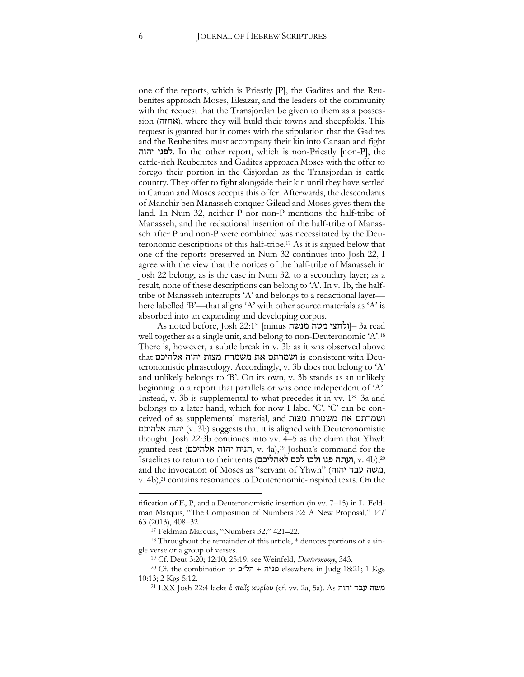one of the reports, which is Priestly [P], the Gadites and the Reubenites approach Moses, Eleazar, and the leaders of the community with the request that the Transjordan be given to them as a possession (אחזה), where they will build their towns and sheepfolds. This request is granted but it comes with the stipulation that the Gadites and the Reubenites must accompany their kin into Canaan and fight יהוה לפני. In the other report, which is non-Priestly [non-P], the cattle-rich Reubenites and Gadites approach Moses with the offer to forego their portion in the Cisjordan as the Transjordan is cattle country. They offer to fight alongside their kin until they have settled in Canaan and Moses accepts this offer. Afterwards, the descendants of Manchir ben Manasseh conquer Gilead and Moses gives them the land. In Num 32, neither P nor non-P mentions the half-tribe of Manasseh, and the redactional insertion of the half-tribe of Manasseh after P and non-P were combined was necessitated by the Deuteronomic descriptions of this half-tribe.17 As it is argued below that one of the reports preserved in Num 32 continues into Josh 22, I agree with the view that the notices of the half-tribe of Manasseh in Josh 22 belong, as is the case in Num 32, to a secondary layer; as a result, none of these descriptions can belong to 'A'. In v. 1b, the halftribe of Manasseh interrupts 'A' and belongs to a redactional layer here labelled 'B'—that aligns 'A' with other source materials as 'A' is absorbed into an expanding and developing corpus.

 $\,$ As noted before, Josh 22:1\* [minus מנשה מנשה] – 3a read well together as a single unit, and belong to non-Deuteronomic 'A'.<sup>18</sup> There is, however, a subtle break in v. 3b as it was observed above that אלהיכם יהוה מצות משמרת את ושמרתם is consistent with Deuteronomistic phraseology. Accordingly, v. 3b does not belong to 'A' and unlikely belongs to 'B'. On its own, v. 3b stands as an unlikely beginning to a report that parallels or was once independent of 'A'. Instead, v. 3b is supplemental to what precedes it in vv. 1\*–3a and belongs to a later hand, which for now I label 'C'. 'C' can be conceived of as supplemental material, and מצות משמרת את ושמרתם יהוה אלהיכם (v. 3b) suggests that it is aligned with Deuteronomistic thought. Josh 22:3b continues into vv. 4–5 as the claim that Yhwh granted rest (הניח יהוה אלהיכם, v. 4a),<sup>19</sup> Joshua's command for the Israelites to return to their tents (לכם לאהליכם, v. 4b),<sup>20</sup> and the invocation of Moses as "servant of Yhwh" (משה עבד יהוה, v. 4b),21 contains resonances to Deuteronomic-inspired texts. On the

tification of E, P, and a Deuteronomistic insertion (in vv. 7–15) in L. Feldman Marquis, "The Composition of Numbers 32: A New Proposal," *VT*  63 (2013), 408–32.

<sup>17</sup> Feldman Marquis, "Numbers 32," 421–22.

<sup>18</sup> Throughout the remainder of this article, \* denotes portions of a single verse or a group of verses.

<sup>19</sup> Cf. Deut 3:20; 12:10; 25:19; see Weinfeld, *Deuteronomy*, 343.

<sup>&</sup>lt;sup>20</sup> Cf. the combination of **כנ״ה + הל״כ** elsewhere in Judg 18:21; 1 Kgs 10:13; 2 Kgs 5:12.

<sup>21</sup> LXX Josh 22:4 lacks ὁ παῖς κυρίου (cf. vv. 2a, 5a). As יהוה עבד משה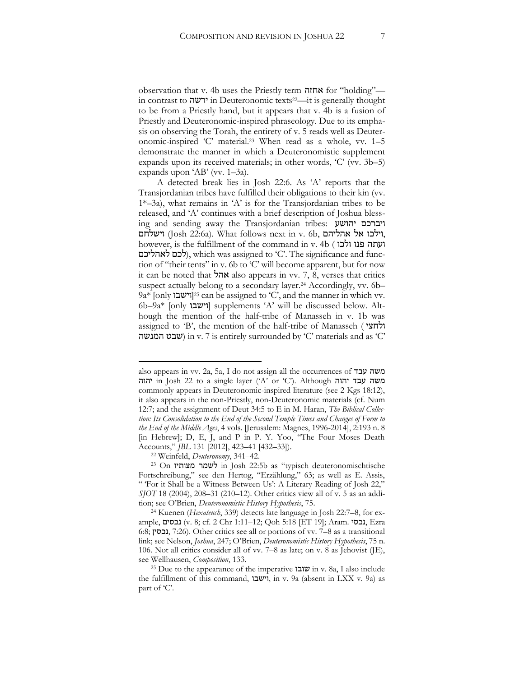observation that v. 4b uses the Priestly term אחזה for "holding" in contrast to ירשה in Deuteronomic texts22—it is generally thought to be from a Priestly hand, but it appears that v. 4b is a fusion of Priestly and Deuteronomic-inspired phraseology. Due to its emphasis on observing the Torah, the entirety of v. 5 reads well as Deuteronomic-inspired 'C' material.<sup>23</sup> When read as a whole, vv. 1–5 demonstrate the manner in which a Deuteronomistic supplement expands upon its received materials; in other words, 'C' (vv. 3b–5) expands upon 'AB' (vv. 1–3a).

A detected break lies in Josh 22:6. As 'A' reports that the Transjordanian tribes have fulfilled their obligations to their kin (vv. 1\*–3a), what remains in 'A' is for the Transjordanian tribes to be released, and 'A' continues with a brief description of Joshua blessing and sending away the Transjordanian tribes: יהושע ויברכם ויילכו אל אהליהם ,Josh 22:6a). What follows next in v. 6b, וילכו אל אהליהם, however, is the fulfillment of the command in v. 4b ( ולכו פנו ועתה לכם לאהליכם), which was assigned to 'C'. The significance and function of "their tents" in v. 6b to 'C' will become apparent, but for now it can be noted that אהל also appears in vv. 7, 8, verses that critics suspect actually belong to a secondary layer.<sup>24</sup> Accordingly, vv. 6b– 9a\* [only  $2^5$  can be assigned to 'C', and the manner in which vv. 6b–9a\* [וישבו [supplements 'A' will be discussed below. Although the mention of the half-tribe of Manasseh in v. 1b was assigned to 'B', the mention of the half-tribe of Manasseh ( ולחצי שבט המנשה in v. 7 is entirely surrounded by 'C' materials and as 'C'

also appears in vv. 2a, 5a, I do not assign all the occurrences of עבד משה יהוה in Josh 22 to a single layer ('A' or 'C'). Although יהוה עבד משה commonly appears in Deuteronomic-inspired literature (see 2 Kgs 18:12), it also appears in the non-Priestly, non-Deuteronomic materials (cf. Num 12:7; and the assignment of Deut 34:5 to E in M. Haran, *The Biblical Collection: Its Consolidation to the End of the Second Temple Times and Changes of Form to the End of the Middle Ages*, 4 vols. [Jerusalem: Magnes, 1996-2014], 2:193 n. 8 [in Hebrew]; D, E, J, and P in P. Y. Yoo, "The Four Moses Death Accounts," *JBL* 131 [2012], 423–41 [432–33]).

<sup>22</sup> Weinfeld, *Deuteronomy*, 341–42.

<sup>23</sup> On מצותיו לשמר in Josh 22:5b as "typisch deuteronomischtische Fortschreibung," see den Hertog, "Erzählung," 63; as well as E. Assis, " 'For it Shall be a Witness Between Us': A Literary Reading of Josh 22," *SJOT* 18 (2004), 208–31 (210–12). Other critics view all of v. 5 as an addition; see O'Brien, *Deuteronomistic History Hypothesis*, 75.

<sup>24</sup> Kuenen (*Hexateuch*, 339) detects late language in Josh 22:7–8, for example, נכסים) v. 8; cf. 2 Chr 1:11–12; Qoh 5:18 [ET 19]; Aram. נכסי, Ezra 6:8; נכסין, 7:26(. Other critics see all or portions of vv. 7–8 as a transitional link; see Nelson, *Joshua*, 247; O'Brien, *Deuteronomistic History Hypothesis*, 75 n. 106. Not all critics consider all of vv. 7–8 as late; on v. 8 as Jehovist (JE), see Wellhausen, *Composition*, 133. 25 Due to the appearance of the imperative שובו in v. 8a, I also include

the fulfillment of this command, וישבו, in v. 9a (absent in LXX v. 9a) as part of 'C'.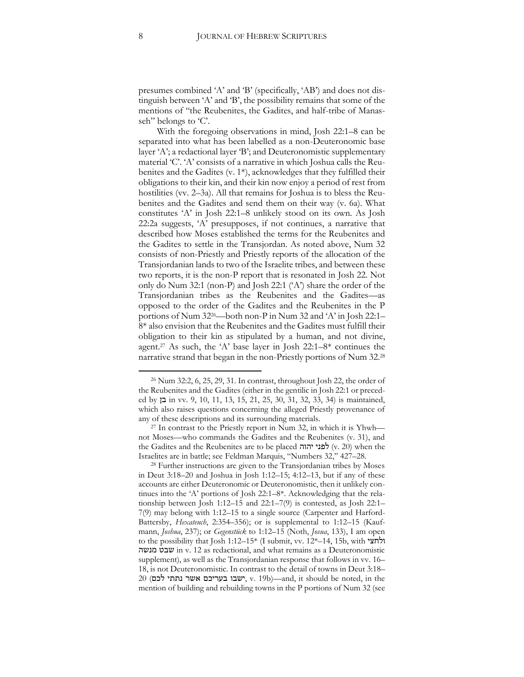presumes combined 'A' and 'B' (specifically, 'AB') and does not distinguish between 'A' and 'B', the possibility remains that some of the mentions of "the Reubenites, the Gadites, and half-tribe of Manasseh" belongs to 'C'.

With the foregoing observations in mind, Josh 22:1–8 can be separated into what has been labelled as a non-Deuteronomic base layer 'A'; a redactional layer 'B'; and Deuteronomistic supplementary material 'C'. 'A' consists of a narrative in which Joshua calls the Reubenites and the Gadites (v. 1\*), acknowledges that they fulfilled their obligations to their kin, and their kin now enjoy a period of rest from hostilities (vv. 2–3a). All that remains for Joshua is to bless the Reubenites and the Gadites and send them on their way (v. 6a). What constitutes 'A' in Josh 22:1–8 unlikely stood on its own. As Josh 22:2a suggests, 'A' presupposes, if not continues, a narrative that described how Moses established the terms for the Reubenites and the Gadites to settle in the Transjordan. As noted above, Num 32 consists of non-Priestly and Priestly reports of the allocation of the Transjordanian lands to two of the Israelite tribes, and between these two reports, it is the non-P report that is resonated in Josh 22. Not only do Num 32:1 (non-P) and Josh 22:1 ('A') share the order of the Transjordanian tribes as the Reubenites and the Gadites—as opposed to the order of the Gadites and the Reubenites in the P portions of Num 3226—both non-P in Num 32 and 'A' in Josh 22:1– 8\* also envision that the Reubenites and the Gadites must fulfill their obligation to their kin as stipulated by a human, and not divine, agent.<sup>27</sup> As such, the 'A' base layer in Josh  $22:1-8*$  continues the narrative strand that began in the non-Priestly portions of Num 32.28

<sup>26</sup> Num 32:2, 6, 25, 29, 31. In contrast, throughout Josh 22, the order of the Reubenites and the Gadites (either in the gentilic in Josh 22:1 or preceded by בן in vv. 9, 10, 11, 13, 15, 21, 25, 30, 31, 32, 33, 34) is maintained, which also raises questions concerning the alleged Priestly provenance of any of these descriptions and its surrounding materials.

<sup>27</sup> In contrast to the Priestly report in Num 32, in which it is Yhwh not Moses—who commands the Gadites and the Reubenites (v. 31), and the Gadites and the Reubenites are to be placed לפני יהוה (v. 20) when the Israelites are in battle; see Feldman Marquis, "Numbers 32," 427–28.

<sup>28</sup> Further instructions are given to the Transjordanian tribes by Moses in Deut 3:18–20 and Joshua in Josh 1:12–15; 4:12–13, but if any of these accounts are either Deuteronomic or Deuteronomistic, then it unlikely continues into the 'A' portions of Josh 22:1–8\*. Acknowledging that the relationship between Josh 1:12–15 and 22:1–7(9) is contested, as Josh 22:1– 7(9) may belong with 1:12–15 to a single source (Carpenter and Harford-Battersby, *Hexateuch*, 2:354–356); or is supplemental to 1:12–15 (Kaufmann, *Joshua*, 237); or *Gegenstück* to 1:12–15 (Noth, *Josua*, 133), I am open to the possibility that Josh 1:12–15\* (I submit, vv. 12\*–14, 15b, with ולחצי מנשה שבט in v. 12 as redactional, and what remains as a Deuteronomistic supplement), as well as the Transjordanian response that follows in vv. 16– 18, is not Deuteronomistic. In contrast to the detail of towns in Deut 3:18– 20 (שבו בעריכם אשר נתתי לכם, v. 19b)—and, it should be noted, in the mention of building and rebuilding towns in the P portions of Num 32 (see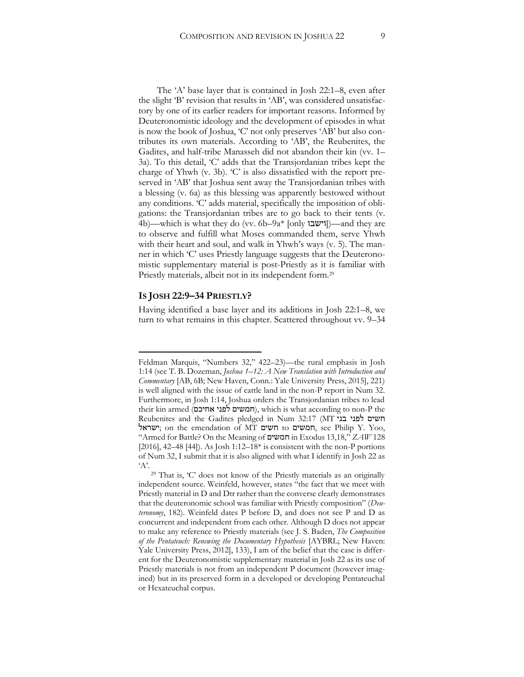The 'A' base layer that is contained in Josh 22:1–8, even after the slight 'B' revision that results in 'AB', was considered unsatisfactory by one of its earlier readers for important reasons. Informed by Deuteronomistic ideology and the development of episodes in what is now the book of Joshua, 'C' not only preserves 'AB' but also contributes its own materials. According to 'AB', the Reubenites, the Gadites, and half-tribe Manasseh did not abandon their kin (vv. 1– 3a). To this detail, 'C' adds that the Transjordanian tribes kept the charge of Yhwh (v. 3b). 'C' is also dissatisfied with the report preserved in 'AB' that Joshua sent away the Transjordanian tribes with a blessing (v. 6a) as this blessing was apparently bestowed without any conditions. 'C' adds material, specifically the imposition of obligations: the Transjordanian tribes are to go back to their tents (v. 4b)—which is what they do (vv. 6b–9a\* [only  $\text{univ}$ ])—and they are to observe and fulfill what Moses commanded them, serve Yhwh with their heart and soul, and walk in Yhwh's ways (v. 5). The manner in which 'C' uses Priestly language suggests that the Deuteronomistic supplementary material is post-Priestly as it is familiar with Priestly materials, albeit not in its independent form.29

#### **IS JOSH 22:9–34 PRIESTLY?**

 $\overline{a}$ 

Having identified a base layer and its additions in Josh 22:1–8, we turn to what remains in this chapter. Scattered throughout vv. 9–34

Feldman Marquis, "Numbers 32," 422–23)—the rural emphasis in Josh 1:14 (see T. B. Dozeman, *Joshua 1–12: A New Translation with Introduction and Commentary* [AB, 6B; New Haven, Conn.: Yale University Press, 2015], 221) is well aligned with the issue of cattle land in the non-P report in Num 32. Furthermore, in Josh 1:14, Joshua orders the Transjordanian tribes to lead their kin armed (חמשים לפני אחיכם), which is what according to non-P the Reubenites and the Gadites pledged in Num 32:17 (MT בני לפני חשים ישראל ;on the emendation of MT חשים to חמשים, see Philip Y. Yoo, "Armed for Battle? On the Meaning of חמשים in Exodus 13,18," *ZAW* 128 [2016], 42–48 [44]). As Josh 1:12–18\* is consistent with the non-P portions of Num 32, I submit that it is also aligned with what I identify in Josh 22 as  $A$ '.

<sup>29</sup> That is, 'C' does not know of the Priestly materials as an originally independent source. Weinfeld, however, states "the fact that we meet with Priestly material in D and Dtr rather than the converse clearly demonstrates that the deuteronomic school was familiar with Priestly composition" (*Deuteronomy*, 182). Weinfeld dates P before D, and does not see P and D as concurrent and independent from each other. Although D does not appear to make any reference to Priestly materials (see J. S. Baden, *The Composition of the Pentateuch: Renewing the Documentary Hypothesis* [AYBRL; New Haven: Yale University Press, 2012], 133), I am of the belief that the case is different for the Deuteronomistic supplementary material in Josh 22 as its use of Priestly materials is not from an independent P document (however imagined) but in its preserved form in a developed or developing Pentateuchal or Hexateuchal corpus.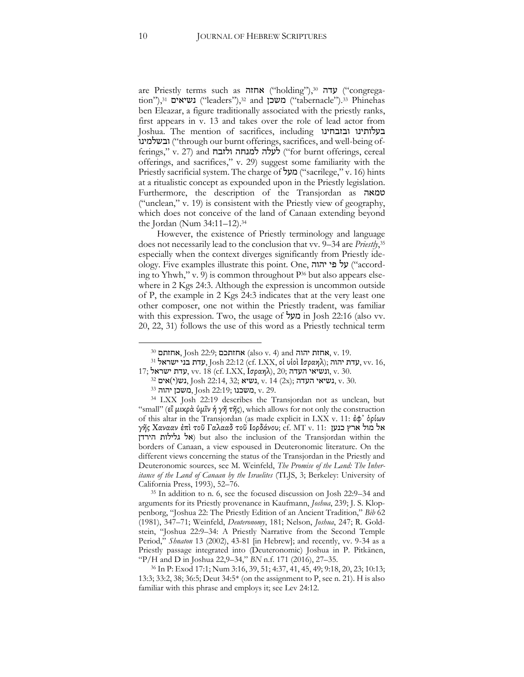are Priestly terms such as עדה ("holding"),30 עדה ("congregation"), $31$  נשיאים ("leaders"), $32$  and  $\mu$ "tabernacle"). $33$  Phinehas ben Eleazar, a figure traditionally associated with the priestly ranks, first appears in v. 13 and takes over the role of lead actor from Joshua. The mention of sacrifices, including ובזבחינו בעלותינו ובשלמינו ("through our burnt offerings, sacrifices, and well-being offerings," v. 27) and ולזבח ולזבח (for burnt offerings, cereal offerings, and sacrifices," v. 29) suggest some familiarity with the Priestly sacrificial system. The charge of מעל (sacrilege," v. 16) hints at a ritualistic concept as expounded upon in the Priestly legislation. Furthermore, the description of the Transjordan as טמאה ("unclean," v. 19) is consistent with the Priestly view of geography, which does not conceive of the land of Canaan extending beyond the Jordan (Num 34:11–12).34

However, the existence of Priestly terminology and language does not necessarily lead to the conclusion that vv. 9–34 are *Priestly*, 35 especially when the context diverges significantly from Priestly ideology. Five examples illustrate this point. One, יהוה פי על") according to Yhwh," v. 9) is common throughout P<sup>36</sup> but also appears elsewhere in 2 Kgs 24:3. Although the expression is uncommon outside of P, the example in 2 Kgs 24:3 indicates that at the very least one other composer, one not within the Priestly tradent, was familiar with this expression. Two, the usage of **מעל** in Josh 22:16 (also vv. 20, 22, 31) follows the use of this word as a Priestly technical term

<sup>35</sup> In addition to n. 6, see the focused discussion on Josh 22:9–34 and arguments for its Priestly provenance in Kaufmann, *Joshua*, 239; J. S. Kloppenborg, "Joshua 22: The Priestly Edition of an Ancient Tradition," *Bib* 62 (1981), 347–71; Weinfeld, *Deuteronomy*, 181; Nelson, *Joshua*, 247; R. Goldstein, "Joshua 22:9–34: A Priestly Narrative from the Second Temple Period," *Shnaton* 13 (2002), 43-81 [in Hebrew]; and recently, vv. 9-34 as a Priestly passage integrated into (Deuteronomic) Joshua in P. Pitkänen, "P/H and D in Joshua 22,9–34," *BN* n.f. 171 (2016), 27–35.

<sup>&</sup>lt;sup>30</sup> אחזתכם; Josh 22:9; אחזת (also v. 4) and יהוה, v. 19.

<sup>&</sup>lt;sup>31</sup> עדת בני ישראל <sup>31</sup>, Josh 22:12 (cf. LXX, οἱ υἱοὶ Ισραηλ); עדת עדת, vv. 16,

<sup>17;</sup> עדת ישראל, vv. 18 (cf. LXX, Ισραηλ), 20; ונשיאי העדה, v. 30.

 $\mathbb{S}^2$  נשיאי העדה  $\mathbb{S}$ , נשיא, v. 14 (2x); געשיאי, v. 30.

<sup>33</sup> יהוה משכן, Josh 22:19; משכנו, v. 29.

<sup>34</sup> LXX Josh 22:19 describes the Transjordan not as unclean, but "small" (ει' μικρά ὑμῖν ἡ γῆ τῆς), which allows for not only the construction of this altar in the Transjordan (as made explicit in LXX v. 11: ἐφ᾽ ὁρίων γῆς Χανααν ἐπὶ τοῦ Γαλααδ τοῦ Ιορδάνου; cf. MT v. 11: כנען ארץ מול אל אל גלילות הירדן but also the inclusion of the Transjordan within the borders of Canaan, a view espoused in Deuteronomic literature. On the different views concerning the status of the Transjordan in the Priestly and Deuteronomic sources, see M. Weinfeld, *The Promise of the Land: The Inheritance of the Land of Canaan by the Israelites* (TLJS, 3; Berkeley: University of California Press, 1993), 52–76.

<sup>36</sup> In P: Exod 17:1; Num 3:16, 39, 51; 4:37, 41, 45, 49; 9:18, 20, 23; 10:13; 13:3; 33:2, 38; 36:5; Deut 34:5\* (on the assignment to P, see n. 21). H is also familiar with this phrase and employs it; see Lev 24:12.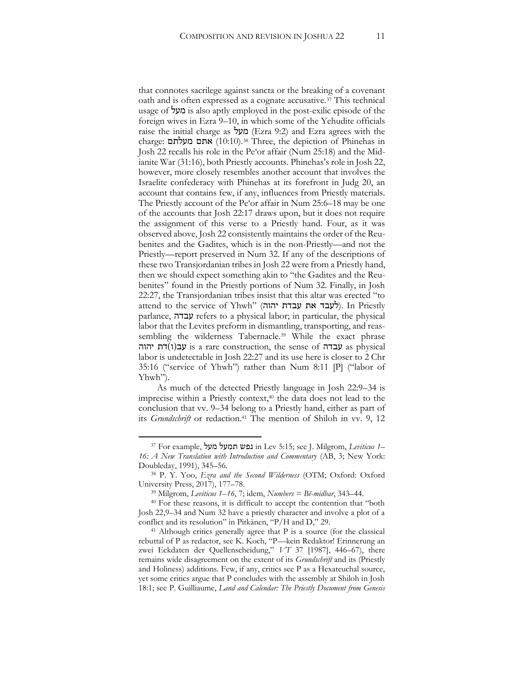that connotes sacrilege against sancta or the breaking of a covenant oath and is often expressed as a cognate accusative.37 This technical usage of **מעל** is also aptly employed in the post-exilic episode of the foreign wives in Ezra 9–10, in which some of the Yehudite officials raise the initial charge as מעל) Ezra 9:2) and Ezra agrees with the charge: מעלתם אתם) 10:10(.38 Three, the depiction of Phinehas in Josh 22 recalls his role in the Pe'or affair (Num 25:18) and the Midianite War (31:16), both Priestly accounts. Phinehas's role in Josh 22, however, more closely resembles another account that involves the Israelite confederacy with Phinehas at its forefront in Judg 20, an account that contains few, if any, influences from Priestly materials. The Priestly account of the Pe'or affair in Num 25:6–18 may be one of the accounts that Josh 22:17 draws upon, but it does not require the assignment of this verse to a Priestly hand. Four, as it was observed above, Josh 22 consistently maintains the order of the Reubenites and the Gadites, which is in the non-Priestly—and not the Priestly—report preserved in Num 32. If any of the descriptions of these two Transjordanian tribes in Josh 22 were from a Priestly hand, then we should expect something akin to "the Gadites and the Reubenites" found in the Priestly portions of Num 32. Finally, in Josh 22:27, the Transjordanian tribes insist that this altar was erected "to attend to the service of Yhwh" (לעבד את עבדת עבדת). In Priestly parlance, עבדה refers to a physical labor; in particular, the physical labor that the Levites preform in dismantling, transporting, and reassembling the wilderness Tabernacle.<sup>39</sup> While the exact phrase יהוה  $\mathfrak{p}$  is a rare construction, the sense of עבדה as physical labor is undetectable in Josh 22:27 and its use here is closer to 2 Chr 35:16 ("service of Yhwh") rather than Num 8:11 [P] ("labor of Yhwh").

As much of the detected Priestly language in Josh 22:9–34 is imprecise within a Priestly context,<sup>40</sup> the data does not lead to the conclusion that vv. 9–34 belong to a Priestly hand, either as part of its *Grundschrift* or redaction.<sup>41</sup> The mention of Shiloh in vv. 9, 12

<sup>37</sup> For example, מעל תמעל נפש in Lev 5:15; see J. Milgrom, *Leviticus 1– 16: A New Translation with Introduction and Commentary* (AB, 3; New York: Doubleday, 1991), 345–56.

<sup>38</sup> P. Y. Yoo, *Ezra and the Second Wilderness* (OTM; Oxford: Oxford University Press, 2017), 177–78. 39 Milgrom, *Leviticus 1–16*, 7; idem, *Numbers = Bĕ-midbar*, 343–44.

<sup>40</sup> For these reasons, it is difficult to accept the contention that "both Josh 22,9–34 and Num 32 have a priestly character and involve a plot of a conflict and its resolution" in Pitkänen, "P/H and D," 29.

 $41$  Although critics generally agree that P is a source (for the classical rebuttal of P as redactor, see K. Koch, "P—kein Redaktor! Erinnerung an zwei Eckdaten der Quellenscheidung," *VT* 37 [1987], 446–67), there remains wide disagreement on the extent of its *Grundschrift* and its (Priestly and Holiness) additions. Few, if any, critics see P as a Hexateuchal source, yet some critics argue that P concludes with the assembly at Shiloh in Josh 18:1; see P. Guilliaume, *Land and Calendar: The Priestly Document from Genesis*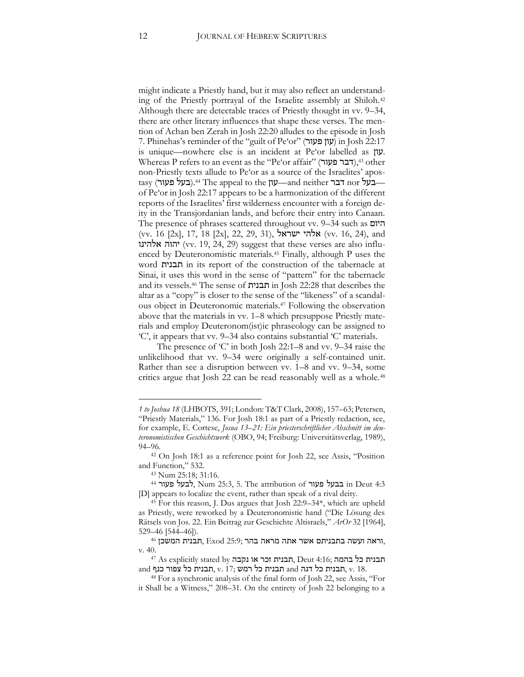might indicate a Priestly hand, but it may also reflect an understanding of the Priestly portrayal of the Israelite assembly at Shiloh.42 Although there are detectable traces of Priestly thought in vv. 9–34, there are other literary influences that shape these verses. The mention of Achan ben Zerah in Josh 22:20 alludes to the episode in Josh 7. Phinehas's reminder of the "guilt of Pe'or" (פעור עון (in Josh 22:17 is unique—nowhere else is an incident at Pe'or labelled as עון. Whereas P refers to an event as the "Pe'or affair" (דבר פעור), 43 other non-Priestly texts allude to Pe'or as a source of the Israelites' apostasy (בעל בעור).44 The appeal to the עון—and neither דבר of Pe'or in Josh 22:17 appears to be a harmonization of the different reports of the Israelites' first wilderness encounter with a foreign deity in the Transjordanian lands, and before their entry into Canaan. The presence of phrases scattered throughout vv. 9–34 such as היום (vv. 16 [2x], 17, 18 [2x], 22, 29, 31), ישראל אלהי) vv. 16, 24), and יהוה אלהינו (vv. 19, 24, 29) suggest that these verses are also influenced by Deuteronomistic materials.45 Finally, although P uses the word תבנית in its report of the construction of the tabernacle at Sinai, it uses this word in the sense of "pattern" for the tabernacle and its vessels.46 The sense of תבנית in Josh 22:28 that describes the altar as a "copy" is closer to the sense of the "likeness" of a scandalous object in Deuteronomic materials.47 Following the observation above that the materials in vv. 1–8 which presuppose Priestly materials and employ Deuteronom(ist)ic phraseology can be assigned to 'C', it appears that vv. 9–34 also contains substantial 'C' materials.

The presence of 'C' in both Josh 22:1–8 and vv. 9–34 raise the unlikelihood that vv. 9–34 were originally a self-contained unit. Rather than see a disruption between vv. 1–8 and vv. 9–34, some critics argue that Josh 22 can be read reasonably well as a whole.48

*<sup>1</sup> to Joshua 18* (LHBOTS, 391; London: T&T Clark, 2008), 157–63; Petersen, "Priestly Materials," 136. For Josh 18:1 as part of a Priestly redaction, see, for example, E. Cortese, *Josua 13–21: Ein priesterschriftlicher Abschnitt im deuteronomistischen Geschichtswerk* (OBO, 94; Freiburg: Universitätsverlag, 1989), 94–96.

<sup>42</sup> On Josh 18:1 as a reference point for Josh 22, see Assis, "Position and Function," 532.

<sup>43</sup> Num 25:18; 31:16.

<sup>44</sup> פעור לבעל, Num 25:3, 5. The attribution of פעור בבעל in Deut 4:3 [D] appears to localize the event, rather than speak of a rival deity.

<sup>45</sup> For this reason, J. Dus argues that Josh 22:9–34\*, which are upheld as Priestly, were reworked by a Deuteronomistic hand ("Die Lösung des Rätsels von Jos. 22. Ein Beitrag zur Geschichte Altisraels," *ArOr* 32 [1964],

<sup>,</sup>וראה ועשה בתבניתם אשר אתה מראה בהר ;25:9 .<br>וראה ועשה בתבניתם אשר אתה מראה בהר ,25:9 הבנית המשכן 46,

ת יל בהלה קות בנית כל בהמה ;Deut 4:16 ,תבנית זכר או נקבה או 54.<br>תבנית כל בהמה ;Deut 4:16 ,תבנית זכר או נקבה או 47 As explicitly stated by and קתבנית כל צפור כנף, v. 17; רגבית כל תבנית כל תבנית המ $\alpha$ , v. 18.

<sup>48</sup> For a synchronic analysis of the final form of Josh 22, see Assis, "For it Shall be a Witness," 208–31. On the entirety of Josh 22 belonging to a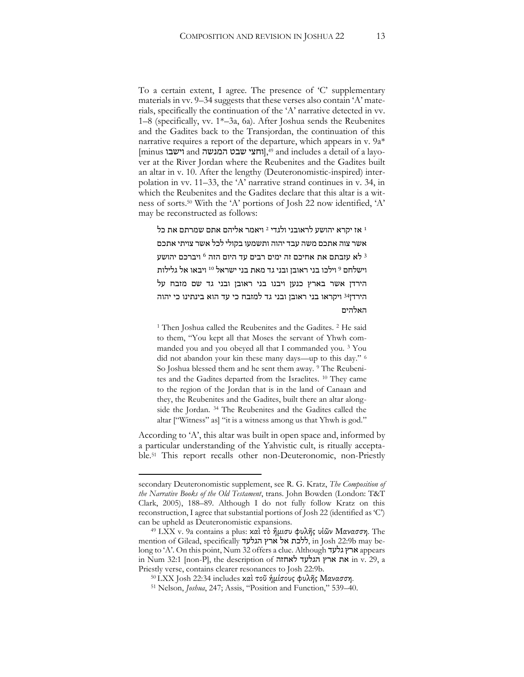To a certain extent, I agree. The presence of 'C' supplementary materials in vv. 9–34 suggests that these verses also contain 'A' materials, specifically the continuation of the 'A' narrative detected in vv. 1–8 (specifically, vv. 1\*–3a, 6a). After Joshua sends the Reubenites and the Gadites back to the Transjordan, the continuation of this narrative requires a report of the departure, which appears in v. 9a\*  $\lceil$ imus וישבו and המנשה שבט המנשה and includes a detail of a layover at the River Jordan where the Reubenites and the Gadites built an altar in v. 10. After the lengthy (Deuteronomistic-inspired) interpolation in vv. 11–33, the 'A' narrative strand continues in v. 34, in which the Reubenites and the Gadites declare that this altar is a witness of sorts.50 With the 'A' portions of Josh 22 now identified, 'A' may be reconstructed as follows:

ליהם אתם שמרתם את כל 2 אז יקרא יהושע לראובני ולגדי 2 אימר אשר צוה אתכם משה עבד יהוה ותשמעו בקולי לכל אשר צויתי אתכם לא עזבתם את אחיכם זה ימים רבים עד היום הזה <sup>6</sup> ויברכם יהושע  $\,^3$ וישלחם <sup>9</sup> וילכו בני ראובן ובני גד מאת בני ישראל <sup>10</sup> ויבאו אל גלילות הירדן אשר בארץ כנען ויבנו בני ראובן ובני גד שם מזבח על הירדן<sup>34 </sup>ויקראו בני ראובן ובני גד למזבח כי עד הוא בינתינו כי יהוה האלהים

<sup>1</sup> Then Joshua called the Reubenites and the Gadites. <sup>2</sup> He said to them, "You kept all that Moses the servant of Yhwh commanded you and you obeyed all that I commanded you. 3 You did not abandon your kin these many days—up to this day." <sup>6</sup> So Joshua blessed them and he sent them away. <sup>9</sup> The Reubenites and the Gadites departed from the Israelites. 10 They came to the region of the Jordan that is in the land of Canaan and they, the Reubenites and the Gadites, built there an altar alongside the Jordan. 34 The Reubenites and the Gadites called the altar ["Witness" as] "it is a witness among us that Yhwh is god."

According to 'A', this altar was built in open space and, informed by a particular understanding of the Yahvistic cult, is ritually acceptable.51 This report recalls other non-Deuteronomic, non-Priestly

secondary Deuteronomistic supplement, see R. G. Kratz, *The Composition of the Narrative Books of the Old Testament*, trans. John Bowden (London: T&T Clark, 2005), 188–89. Although I do not fully follow Kratz on this reconstruction, I agree that substantial portions of Josh 22 (identified as 'C') can be upheld as Deuteronomistic expansions.

<sup>49</sup> LXX v. 9a contains a plus: καὶ τὸ ἢμισυ φυλῆς υἱῶν Μανασση. The mention of Gilead, specifically הגלעד ארץ אל ללכת, in Josh 22:9b may belong to 'A'. On this point, Num 32 offers a clue. Although גלעד ארץ appears in Num 32:1 [non-P], the description of לאחזה הגלעד ארץ את in v. 29, a Priestly verse, contains clearer resonances to Josh 22:9b.

<sup>50</sup> LXX Josh 22:34 includes καὶ τοῦ ἡμίσους φυλῆς Μανασση.

<sup>51</sup> Nelson, *Joshua*, 247; Assis, "Position and Function," 539–40.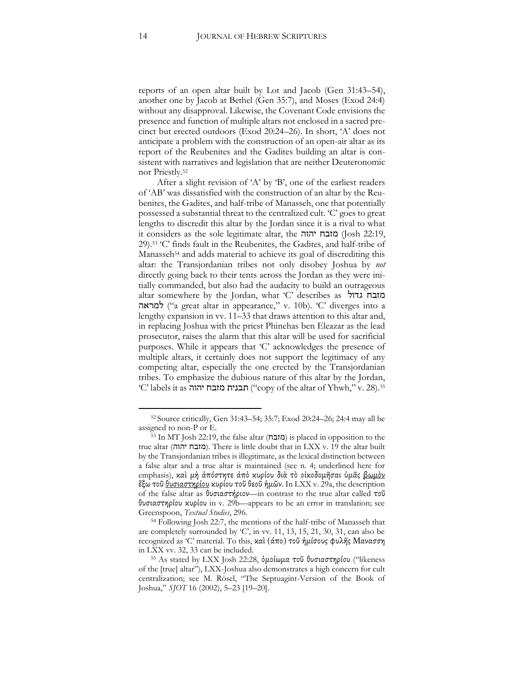reports of an open altar built by Lot and Jacob (Gen 31:43–54), another one by Jacob at Bethel (Gen 35:7), and Moses (Exod 24:4) without any disapproval. Likewise, the Covenant Code envisions the presence and function of multiple altars not enclosed in a sacred precinct but erected outdoors (Exod 20:24–26). In short, 'A' does not anticipate a problem with the construction of an open-air altar as its report of the Reubenites and the Gadites building an altar is consistent with narratives and legislation that are neither Deuteronomic nor Priestly.52

After a slight revision of 'A' by 'B', one of the earliest readers of 'AB' was dissatisfied with the construction of an altar by the Reubenites, the Gadites, and half-tribe of Manasseh, one that potentially possessed a substantial threat to the centralized cult. 'C' goes to great lengths to discredit this altar by the Jordan since it is a rival to what it considers as the sole legitimate altar, the יהוה מזבח) Josh 22:19, 29).53 'C' finds fault in the Reubenites, the Gadites, and half-tribe of Manasseh<sup>54</sup> and adds material to achieve its goal of discrediting this altar: the Transjordanian tribes not only disobey Joshua by *not* directly going back to their tents across the Jordan as they were initially commanded, but also had the audacity to build an outrageous altar somewhere by the Jordan, what 'C' describes as גדול מזבח למראה") a great altar in appearance," v. 10b). 'C' diverges into a lengthy expansion in vv. 11–33 that draws attention to this altar and, in replacing Joshua with the priest Phinehas ben Eleazar as the lead prosecutor, raises the alarm that this altar will be used for sacrificial purposes. While it appears that 'C' acknowledges the presence of multiple altars, it certainly does not support the legitimacy of any competing altar, especially the one erected by the Transjordanian tribes. To emphasize the dubious nature of this altar by the Jordan, 'C' labels it as יהוה ("copy of the altar of Yhwh," v. 28).<sup>55</sup>

<sup>52</sup> Source critically, Gen 31:43–54; 35:7; Exod 20:24–26; 24:4 may all be assigned to non-P or E.

<sup>53</sup> In MT Josh 22:19, the false altar (מזבח) is placed in opposition to the true altar (יהוה מזבח(. There is little doubt that in LXX v. 19 the altar built by the Transjordanian tribes is illegitimate, as the lexical distinction between a false altar and a true altar is maintained (see n. 4; underlined here for emphasis), καὶ μὴ ἀπόστητε ἀπὸ κυρίου διὰ τὸ οἰκοδομῆσαι ὑμᾶς <u>βωμὸν</u> ἒξω τοῦ θυσιαστηρίου κυρίου τοῦ θεοῦ ἡμῶν. In LXX v. 29a, the description of the false altar as θυσιαστήριον—in contrast to the true altar called τοῦ θυσιαστηρίου κυρίου in v. 29b—appears to be an error in translation; see Greenspoon, *Textual Studies*, 296.

<sup>54</sup> Following Josh 22:7, the mentions of the half-tribe of Manasseh that are completely surrounded by 'C', in vv. 11, 13, 15, 21, 30, 31, can also be recognized as 'C' material. To this, καὶ (άπο) τοῦ ἡμίσους φυλῆς Μανασση in LXX vv. 32, 33 can be included.

<sup>55</sup> As stated by LXX Josh 22:28, ὁμοίωμα τοῦ θυσιαστηρίου ("likeness of the [true] altar"), LXX-Joshua also demonstrates a high concern for cult centralization; see M. Rösel, "The Septuagint-Version of the Book of Joshua," *SJOT* 16 (2002), 5–23 [19–20].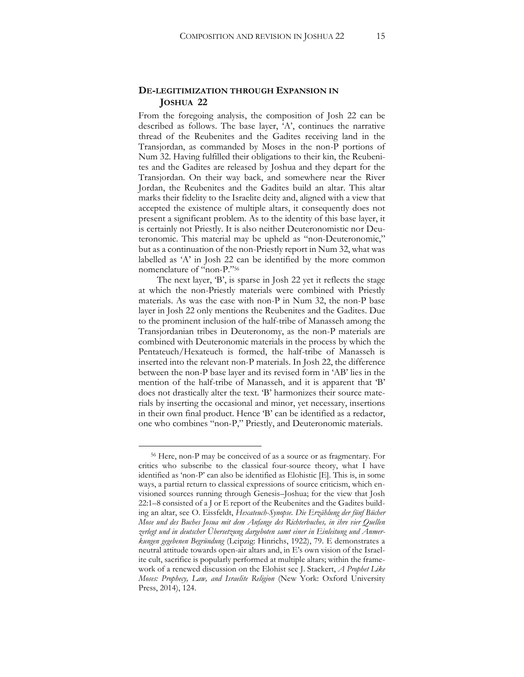#### **DE-LEGITIMIZATION THROUGH EXPANSION IN JOSHUA 22**

From the foregoing analysis, the composition of Josh 22 can be described as follows. The base layer, 'A', continues the narrative thread of the Reubenites and the Gadites receiving land in the Transjordan, as commanded by Moses in the non-P portions of Num 32. Having fulfilled their obligations to their kin, the Reubenites and the Gadites are released by Joshua and they depart for the Transjordan. On their way back, and somewhere near the River Jordan, the Reubenites and the Gadites build an altar. This altar marks their fidelity to the Israelite deity and, aligned with a view that accepted the existence of multiple altars, it consequently does not present a significant problem. As to the identity of this base layer, it is certainly not Priestly. It is also neither Deuteronomistic nor Deuteronomic. This material may be upheld as "non-Deuteronomic," but as a continuation of the non-Priestly report in Num 32, what was labelled as 'A' in Josh 22 can be identified by the more common nomenclature of "non-P."<sup>56</sup>

The next layer, 'B', is sparse in Josh 22 yet it reflects the stage at which the non-Priestly materials were combined with Priestly materials. As was the case with non-P in Num 32, the non-P base layer in Josh 22 only mentions the Reubenites and the Gadites. Due to the prominent inclusion of the half-tribe of Manasseh among the Transjordanian tribes in Deuteronomy, as the non-P materials are combined with Deuteronomic materials in the process by which the Pentateuch/Hexateuch is formed, the half-tribe of Manasseh is inserted into the relevant non-P materials. In Josh 22, the difference between the non-P base layer and its revised form in 'AB' lies in the mention of the half-tribe of Manasseh, and it is apparent that 'B' does not drastically alter the text. 'B' harmonizes their source materials by inserting the occasional and minor, yet necessary, insertions in their own final product. Hence 'B' can be identified as a redactor, one who combines "non-P," Priestly, and Deuteronomic materials.

<sup>56</sup> Here, non-P may be conceived of as a source or as fragmentary. For critics who subscribe to the classical four-source theory, what I have identified as 'non-P' can also be identified as Elohistic [E]. This is, in some ways, a partial return to classical expressions of source criticism, which envisioned sources running through Genesis–Joshua; for the view that Josh 22:1–8 consisted of a J or E report of the Reubenites and the Gadites building an altar, see O. Eissfeldt, *Hexateuch-Synopse. Die Erzählung der fünf Bücher Mose und des Buches Josua mit dem Anfange des Richterbuches, in ihre vier Quellen zerlegt und in deutscher Übersetzung dargeboten samt einer in Einleitung und Anmerkungen gegebenen Begründung* (Leipzig: Hinrichs, 1922), 79. E demonstrates a neutral attitude towards open-air altars and, in E's own vision of the Israelite cult, sacrifice is popularly performed at multiple altars; within the framework of a renewed discussion on the Elohist see J. Stackert, *A Prophet Like Moses: Prophecy, Law, and Israelite Religion* (New York: Oxford University Press, 2014), 124.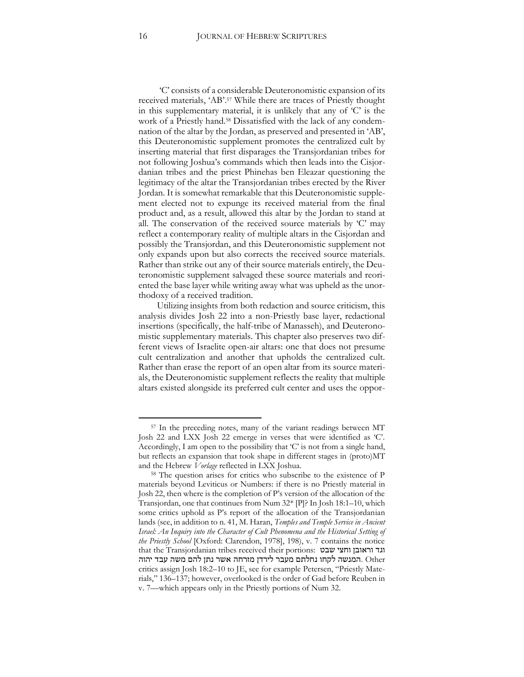'C' consists of a considerable Deuteronomistic expansion of its received materials, 'AB'.<sup>57</sup> While there are traces of Priestly thought in this supplementary material, it is unlikely that any of  $C'$  is the work of a Priestly hand.58 Dissatisfied with the lack of any condemnation of the altar by the Jordan, as preserved and presented in 'AB', this Deuteronomistic supplement promotes the centralized cult by inserting material that first disparages the Transjordanian tribes for not following Joshua's commands which then leads into the Cisjordanian tribes and the priest Phinehas ben Eleazar questioning the legitimacy of the altar the Transjordanian tribes erected by the River Jordan. It is somewhat remarkable that this Deuteronomistic supplement elected not to expunge its received material from the final product and, as a result, allowed this altar by the Jordan to stand at all. The conservation of the received source materials by 'C' may reflect a contemporary reality of multiple altars in the Cisjordan and possibly the Transjordan, and this Deuteronomistic supplement not only expands upon but also corrects the received source materials. Rather than strike out any of their source materials entirely, the Deuteronomistic supplement salvaged these source materials and reoriented the base layer while writing away what was upheld as the unorthodoxy of a received tradition.

Utilizing insights from both redaction and source criticism, this analysis divides Josh 22 into a non-Priestly base layer, redactional insertions (specifically, the half-tribe of Manasseh), and Deuteronomistic supplementary materials. This chapter also preserves two different views of Israelite open-air altars: one that does not presume cult centralization and another that upholds the centralized cult. Rather than erase the report of an open altar from its source materials, the Deuteronomistic supplement reflects the reality that multiple altars existed alongside its preferred cult center and uses the oppor-

<sup>57</sup> In the preceding notes, many of the variant readings between MT Josh 22 and LXX Josh 22 emerge in verses that were identified as 'C'. Accordingly, I am open to the possibility that 'C' is not from a single hand, but reflects an expansion that took shape in different stages in (proto)MT and the Hebrew *Vorlage* reflected in LXX Joshua.

<sup>58</sup> The question arises for critics who subscribe to the existence of P materials beyond Leviticus or Numbers: if there is no Priestly material in Josh 22, then where is the completion of P's version of the allocation of the Transjordan, one that continues from Num 32\* [P]? In Josh 18:1–10, which some critics uphold as P's report of the allocation of the Transjordanian lands (see, in addition to n. 41, M. Haran, *Temples and Temple Service in Ancient Israel: An Inquiry into the Character of Cult Phenomena and the Historical Setting of the Priestly School* [Oxford: Clarendon, 1978], 198), v. 7 contains the notice that the Transjordanian tribes received their portions: שבט וחצי וראובן וגד Other .המנשה לקחו נחלתם מעבר לירדן מזרחה אשר נתן להם משה עבד יהוה critics assign Josh 18:2–10 to JE, see for example Petersen, "Priestly Materials," 136–137; however, overlooked is the order of Gad before Reuben in v. 7—which appears only in the Priestly portions of Num 32.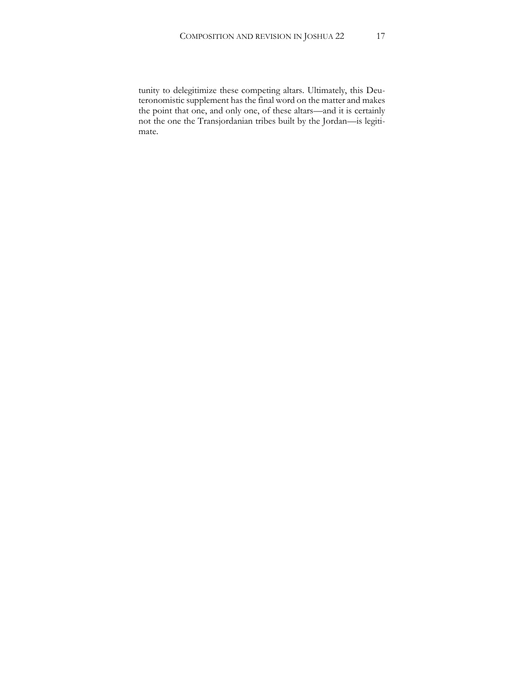tunity to delegitimize these competing altars. Ultimately, this Deuteronomistic supplement has the final word on the matter and makes the point that one, and only one, of these altars—and it is certainly not the one the Transjordanian tribes built by the Jordan—is legitimate.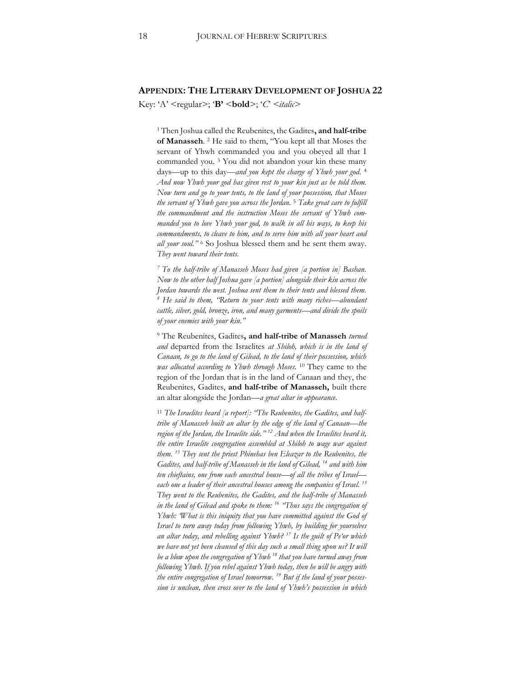#### **APPENDIX: THE LITERARY DEVELOPMENT OF JOSHUA 22**

Key: 'A' <regular>; '**B'** <**bold**>; '*C*' *<italic>*

<sup>1</sup> Then Joshua called the Reubenites, the Gadites**, and half-tribe of Manasseh**. 2 He said to them, "You kept all that Moses the servant of Yhwh commanded you and you obeyed all that I commanded you. 3 You did not abandon your kin these many days—up to this day*—and you kept the charge of Yhwh your god*. 4 *And now Yhwh your god has given rest to your kin just as he told them. Now turn and go to your tents, to the land of your possession, that Moses the servant of Yhwh gave you across the Jordan.* <sup>5</sup> *Take great care to fulfill the commandment and the instruction Moses the servant of Yhwh commanded you to love Yhwh your god, to walk in all his ways, to keep his commandments, to cleave to him, and to serve him with all your heart and all your soul."* <sup>6</sup> So Joshua blessed them and he sent them away. *They went toward their tents.*

*<sup>7</sup> To the half-tribe of Manasseh Moses had given [a portion in] Bashan. Now to the other half Joshua gave [a portion] alongside their kin across the Jordan towards the west. Joshua sent them to their tents and blessed them. <sup>8</sup> He said to them, "Return to your tents with many riches—abundant cattle, silver, gold, bronze, iron, and many garments—and divide the spoils of your enemies with your kin."*

<sup>9</sup> The Reubenites, Gadites**, and half-tribe of Manasseh** *turned and* departed from the Israelites *at Shiloh, which is in the land of Canaan, to go to the land of Gilead, to the land of their possession, which was allocated according to Yhwh through Moses*. 10 They came to the region of the Jordan that is in the land of Canaan and they, the Reubenites, Gadites, **and half-tribe of Manasseh,** built there an altar alongside the Jordan—*a great altar in appearance*.

<sup>11</sup> *The Israelites heard [a report]: "The Reubenites, the Gadites, and halftribe of Manasseh built an altar by the edge of the land of Canaan—the region of the Jordan, the Israelite side." <sup>12</sup> And when the Israelites heard it, the entire Israelite congregation assembled at Shiloh to wage war against them. 13 They sent the priest Phinehas ben Eleazar to the Reubenites, the Gadites, and half-tribe of Manasseh in the land of Gilead, 14 and with him ten chieftains, one from each ancestral house—of all the tribes of Israel each one a leader of their ancestral houses among the companies of Israel. 15 They went to the Reubenites, the Gadites, and the half-tribe of Manasseh in the land of Gilead and spoke to them: 16 "Thus says the congregation of Yhwh: 'What is this iniquity that you have committed against the God of Israel to turn away today from following Yhwh, by building for yourselves an altar today, and rebelling against Yhwh? 17 Is the guilt of Pe'or which*  we have not yet been cleansed of this day such a small thing upon us? It will *be a blow upon the congregation of Yhwh <sup>18</sup> that you have turned away from following Yhwh. If you rebel against Yhwh today, then he will be angry with the entire congregation of Israel tomorrow. 19 But if the land of your possession is unclean, then cross over to the land of Yhwh's possession in which*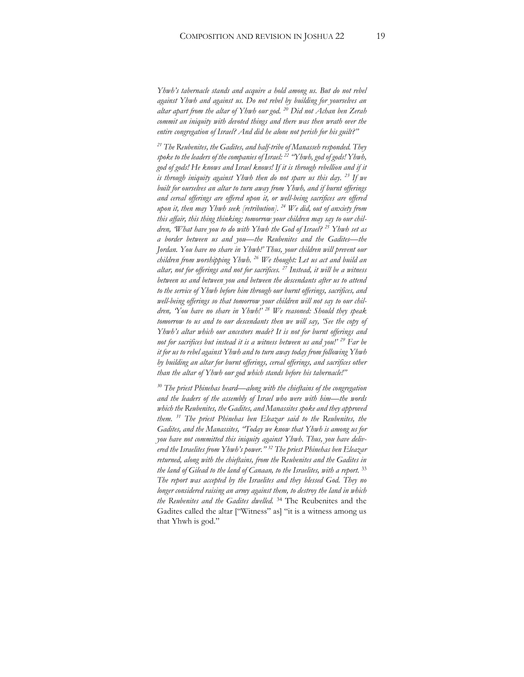*Yhwh's tabernacle stands and acquire a hold among us. But do not rebel against Yhwh and against us. Do not rebel by building for yourselves an altar apart from the altar of Yhwh our god. 20 Did not Achan ben Zerah commit an iniquity with devoted things and there was then wrath over the entire congregation of Israel? And did he alone not perish for his guilt?"*

*<sup>21</sup> The Reubenites, the Gadites, and half-tribe of Manasseh responded. They spoke to the leaders of the companies of Israel: 22 "Yhwh, god of gods! Yhwh,*  god of gods! He knows and Israel knows! If it is through rebellion and if it *is through iniquity against Yhwh then do not spare us this day. 23 If we built for ourselves an altar to turn away from Yhwh, and if burnt offerings and cereal offerings are offered upon it, or well-being sacrifices are offered upon it, then may Yhwh seek [retribution]. 24 We did, out of anxiety from this affair, this thing thinking: tomorrow your children may say to our children, 'What have you to do with Yhwh the God of Israel? 25 Yhwh set as a border between us and you—the Reubenites and the Gadites—the Jordan. You have no share in Yhwh!' Thus, your children will prevent our children from worshipping Yhwh. 26 We thought: Let us act and build an altar, not for offerings and not for sacrifices. 27 Instead, it will be a witness between us and between you and between the descendants after us to attend to the service of Yhwh before him through our burnt offerings, sacrifices, and well-being offerings so that tomorrow your children will not say to our children, 'You have no share in Yhwh!' <sup>28</sup> We reasoned: Should they speak tomorrow to us and to our descendants then we will say, 'See the copy of Yhwh's altar which our ancestors made? It is not for burnt offerings and not for sacrifices but instead it is a witness between us and you!' <sup>29</sup> Far be it for us to rebel against Yhwh and to turn away today from following Yhwh by building an altar for burnt offerings, cereal offerings, and sacrifices other than the altar of Yhwh our god which stands before his tabernacle!"*

*<sup>30</sup> The priest Phinehas heard—along with the chieftains of the congregation and the leaders of the assembly of Israel who were with him—the words which the Reubenites, the Gadites, and Manassites spoke and they approved them. 31 The priest Phinehas ben Eleazar said to the Reubenites, the Gadites, and the Manassites, "Today we know that Yhwh is among us for you have not committed this iniquity against Yhwh. Thus, you have delivered the Israelites from Yhwh's power." <sup>32</sup> The priest Phinehas ben Eleazar returned, along with the chieftains, from the Reubenites and the Gadites in the land of Gilead to the land of Canaan, to the Israelites, with a report.* <sup>33</sup> *The report was accepted by the Israelites and they blessed God. They no longer considered raising an army against them, to destroy the land in which the Reubenites and the Gadites dwelled.* <sup>34</sup> The Reubenites and the Gadites called the altar ["Witness" as] "it is a witness among us that Yhwh is god."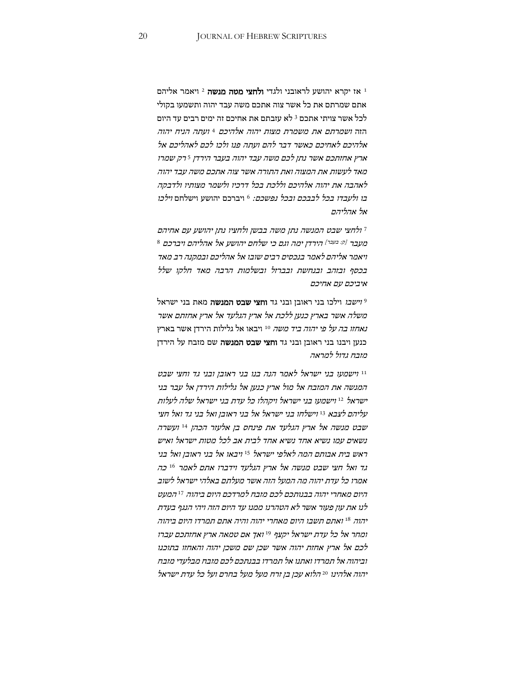ויאמר אליהם 2 אז יקרא יהושע לראובני ולגדי **ולחצי מטה מנשה** 2 ויאמר אליהם אתם שמרתם את כל אשר צוה אתכם משה עבד יהוה ותשמעו בקולי לכל אשר צויתי אתכם <sup>3</sup> לא עזבתם את אחיכם זה ימים רבים עד היום הוה ושמרתם את משמרת מצות יהוה אלהיכם <sup>4</sup> ועתה הניח יהוה אלהיכם לאחיכם כאשר דבר להם ועתה פנו ולכו לכם לאהליכם אל ארץ אחזתכם אשר נתן לכם משה עבד יהוה בעבר הירדן <sup>5</sup> רק שמרו מאד לעשות את המצוה ואת התורה אשר צוה אתכם משה עבד יהוה לאהבה את יהוה אלהיכם וללכת בכל דרכיו ולשמר מצותיו ולדבקה ב*ו ולעבדו בכל לבבכם ובכל נפשכם:* 6 ויברכם יהושע וישלחם *וילכו* אל אהליהם

ולחצי שבט המנשה נתן משה בבשן ולחציו נתן יהושע עם אחיהם <sup>7</sup> 8 מעבר <sup>[ק: בעבר]</sup> הירדן ימה וגם כי שלחם יהושע אל אהליהם ויברכם ויאמר אליהם לאמר בנכסים רבים שובו אל אהליכם ובמקנה רב מאד בכסף ובזהב ובנחשת ובברזל ובשלמות הרבה מאד חלקו שלל איביכם עם אחיכם

וישבו וילכו בני ראובן ובני גד **וחצי שבט המנשה** מאת בני ישראל 9 משלה אשר בארץ כנען ללכת אל ארץ הגלעד אל ארץ אחזתם אשר נ*אחוו בה על פי יהוה ביד משה* 1<sup>0</sup> ויבאו אל גלילות הירדן אשר בארץ כנען ויבנו בני ראובן ובני גד וחצי שבט המנשה שם מזבח על הירדן מזבח גדול למראה

וישמעו בני ישראל לאמר הנה בנו בני ראובן ובני גד וחצי שבט <sup>11</sup> המנשה את המזבח אל מול ארץ כנען אל גלילות הירדן אל עבר בני וישמעו בני ישראל ויקהלו כל עדת בני ישראל שלה לעלות <sup>12</sup> ישראל וישלחו בני ישראל אל בני ראובן ואל בני גד ואל חצי <sup>13</sup> עליהם לצבא שבט מנשה אל ארץ הגלעד את פינחס בן אלעזר הכהן <sup>14</sup> ועשרה נשאים עמו נשיא אחד נשיא אחד לבית אב לכל מטות ישראל ואיש ראש בית אבותם המה לאלפי ישראל <sup>15</sup> ויבאו אל בני ראובו ואל בני כה <sup>16</sup> גד ואל חצי שבט מנשה אל ארץ הגלעד וידברו אתם לאמר אמרו כל עדת יהוה מה המעל הזה אשר מעלתם באלהי ישראל לשוב היום מאחרי יהוה בבנותכם לכם מזבח למרדכם היום ביהוה <sup>17</sup> המעט לנו את עון פעור אשר לא הטהרנו ממנו עד היום הזה ויהי הנגף בעדת ואתם תשבו היום מאחרי יהוה והיה אתם תמרדו היום ביהוה 18 יהוה ומחר אל כל עדת ישראל יקצף <sup>19</sup> ואך אם טמאה ארץ אחזתכם עברו לכם אל ארץ אחזת יהוה אשר שכן שם משכן יהוה והאחזו בתוכנו וביהוה אל תמרדו ואתנו אל תמרדו בבנתכם לכם מזבח מבלעדי מזבח הלוא עכן בן זרח מעל מעל בחרם ועל כל עדת ישראל <sup>20</sup> יהוה אלהינו